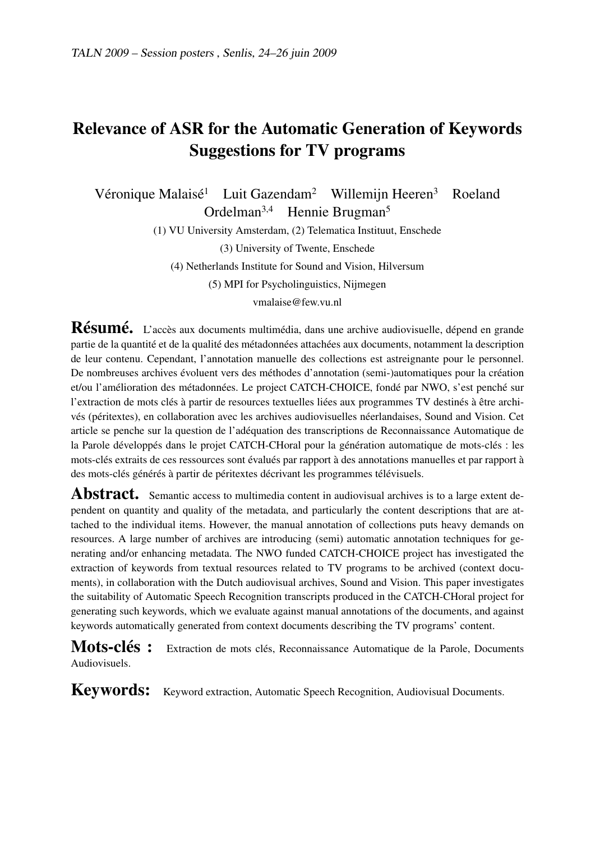# Relevance of ASR for the Automatic Generation of Keywords Suggestions for TV programs

Véronique Malaisé<sup>1</sup> Luit Gazendam<sup>2</sup> Willemijn Heeren<sup>3</sup> Roeland Ordelman3,4 Hennie Brugman<sup>5</sup>

(1) VU University Amsterdam, (2) Telematica Instituut, Enschede

(3) University of Twente, Enschede

(4) Netherlands Institute for Sound and Vision, Hilversum

(5) MPI for Psycholinguistics, Nijmegen

vmalaise@few.vu.nl

Résumé. L'accès aux documents multimédia, dans une archive audiovisuelle, dépend en grande partie de la quantité et de la qualité des métadonnées attachées aux documents, notamment la description de leur contenu. Cependant, l'annotation manuelle des collections est astreignante pour le personnel. De nombreuses archives évoluent vers des méthodes d'annotation (semi-)automatiques pour la création et/ou l'amélioration des métadonnées. Le project CATCH-CHOICE, fondé par NWO, s'est penché sur l'extraction de mots clés à partir de resources textuelles liées aux programmes TV destinés à être archivés (péritextes), en collaboration avec les archives audiovisuelles néerlandaises, Sound and Vision. Cet article se penche sur la question de l'adéquation des transcriptions de Reconnaissance Automatique de la Parole développés dans le projet CATCH-CHoral pour la génération automatique de mots-clés : les mots-clés extraits de ces ressources sont évalués par rapport à des annotations manuelles et par rapport à des mots-clés générés à partir de péritextes décrivant les programmes télévisuels.

Abstract. Semantic access to multimedia content in audiovisual archives is to a large extent dependent on quantity and quality of the metadata, and particularly the content descriptions that are attached to the individual items. However, the manual annotation of collections puts heavy demands on resources. A large number of archives are introducing (semi) automatic annotation techniques for generating and/or enhancing metadata. The NWO funded CATCH-CHOICE project has investigated the extraction of keywords from textual resources related to TV programs to be archived (context documents), in collaboration with the Dutch audiovisual archives, Sound and Vision. This paper investigates the suitability of Automatic Speech Recognition transcripts produced in the CATCH-CHoral project for generating such keywords, which we evaluate against manual annotations of the documents, and against keywords automatically generated from context documents describing the TV programs' content.

Mots-clés : Extraction de mots clés, Reconnaissance Automatique de la Parole, Documents Audiovisuels.

Keywords: Keyword extraction, Automatic Speech Recognition, Audiovisual Documents.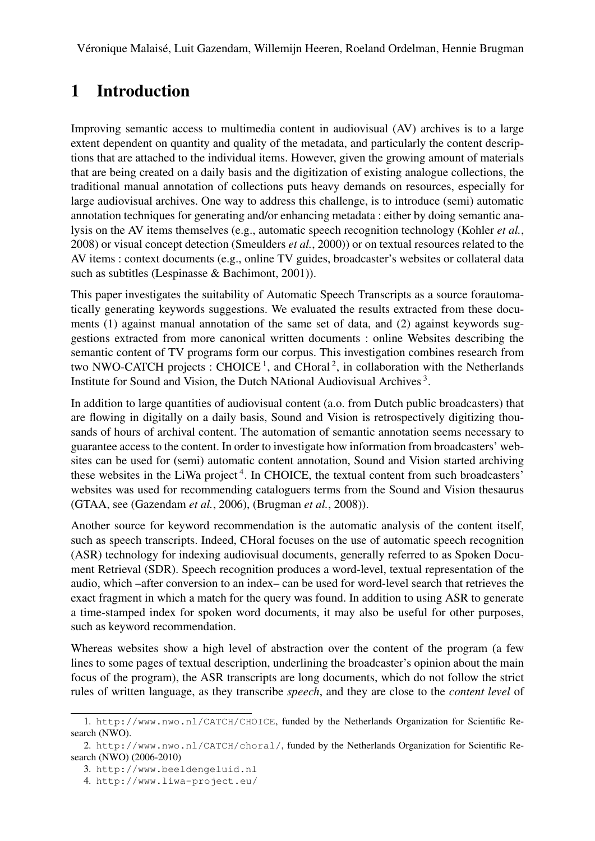### 1 Introduction

Improving semantic access to multimedia content in audiovisual (AV) archives is to a large extent dependent on quantity and quality of the metadata, and particularly the content descriptions that are attached to the individual items. However, given the growing amount of materials that are being created on a daily basis and the digitization of existing analogue collections, the traditional manual annotation of collections puts heavy demands on resources, especially for large audiovisual archives. One way to address this challenge, is to introduce (semi) automatic annotation techniques for generating and/or enhancing metadata : either by doing semantic analysis on the AV items themselves (e.g., automatic speech recognition technology (Kohler *et al.*, 2008) or visual concept detection (Smeulders *et al.*, 2000)) or on textual resources related to the AV items : context documents (e.g., online TV guides, broadcaster's websites or collateral data such as subtitles (Lespinasse & Bachimont, 2001)).

This paper investigates the suitability of Automatic Speech Transcripts as a source forautomatically generating keywords suggestions. We evaluated the results extracted from these documents (1) against manual annotation of the same set of data, and (2) against keywords suggestions extracted from more canonical written documents : online Websites describing the semantic content of TV programs form our corpus. This investigation combines research from two NWO-CATCH projects : CHOICE<sup>1</sup>, and CHoral<sup>2</sup>, in collaboration with the Netherlands Institute for Sound and Vision, the Dutch NAtional Audiovisual Archives<sup>3</sup>.

In addition to large quantities of audiovisual content (a.o. from Dutch public broadcasters) that are flowing in digitally on a daily basis, Sound and Vision is retrospectively digitizing thousands of hours of archival content. The automation of semantic annotation seems necessary to guarantee access to the content. In order to investigate how information from broadcasters' websites can be used for (semi) automatic content annotation, Sound and Vision started archiving these websites in the LiWa project<sup>4</sup>. In CHOICE, the textual content from such broadcasters' websites was used for recommending cataloguers terms from the Sound and Vision thesaurus (GTAA, see (Gazendam *et al.*, 2006), (Brugman *et al.*, 2008)).

Another source for keyword recommendation is the automatic analysis of the content itself, such as speech transcripts. Indeed, CHoral focuses on the use of automatic speech recognition (ASR) technology for indexing audiovisual documents, generally referred to as Spoken Document Retrieval (SDR). Speech recognition produces a word-level, textual representation of the audio, which –after conversion to an index– can be used for word-level search that retrieves the exact fragment in which a match for the query was found. In addition to using ASR to generate a time-stamped index for spoken word documents, it may also be useful for other purposes, such as keyword recommendation.

Whereas websites show a high level of abstraction over the content of the program (a few lines to some pages of textual description, underlining the broadcaster's opinion about the main focus of the program), the ASR transcripts are long documents, which do not follow the strict rules of written language, as they transcribe *speech*, and they are close to the *content level* of

<sup>1.</sup> http://www.nwo.nl/CATCH/CHOICE, funded by the Netherlands Organization for Scientific Research (NWO).

<sup>2.</sup> http://www.nwo.nl/CATCH/choral/, funded by the Netherlands Organization for Scientific Research (NWO) (2006-2010)

<sup>3.</sup> http://www.beeldengeluid.nl

<sup>4.</sup> http://www.liwa-project.eu/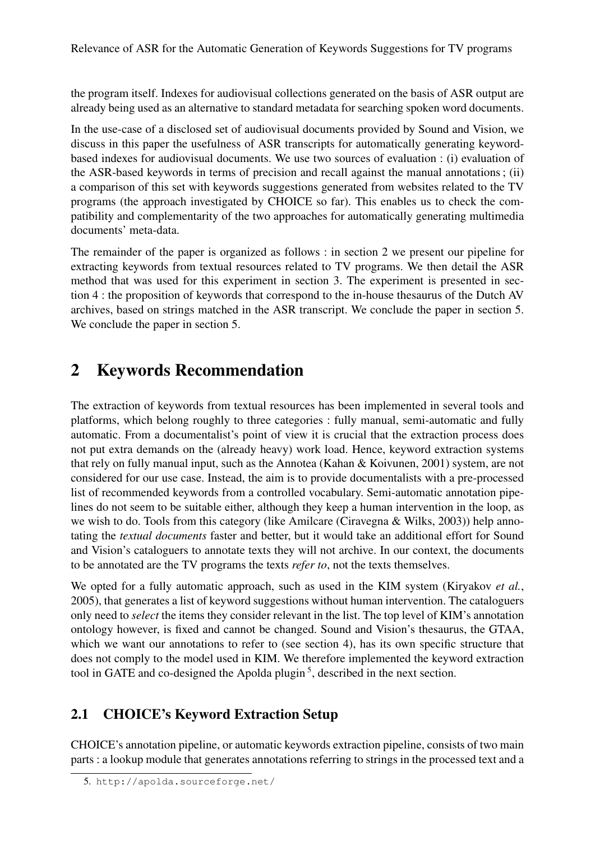the program itself. Indexes for audiovisual collections generated on the basis of ASR output are already being used as an alternative to standard metadata for searching spoken word documents.

In the use-case of a disclosed set of audiovisual documents provided by Sound and Vision, we discuss in this paper the usefulness of ASR transcripts for automatically generating keywordbased indexes for audiovisual documents. We use two sources of evaluation : (i) evaluation of the ASR-based keywords in terms of precision and recall against the manual annotations ; (ii) a comparison of this set with keywords suggestions generated from websites related to the TV programs (the approach investigated by CHOICE so far). This enables us to check the compatibility and complementarity of the two approaches for automatically generating multimedia documents' meta-data.

The remainder of the paper is organized as follows : in section 2 we present our pipeline for extracting keywords from textual resources related to TV programs. We then detail the ASR method that was used for this experiment in section 3. The experiment is presented in section 4 : the proposition of keywords that correspond to the in-house thesaurus of the Dutch AV archives, based on strings matched in the ASR transcript. We conclude the paper in section 5. We conclude the paper in section 5.

## 2 Keywords Recommendation

The extraction of keywords from textual resources has been implemented in several tools and platforms, which belong roughly to three categories : fully manual, semi-automatic and fully automatic. From a documentalist's point of view it is crucial that the extraction process does not put extra demands on the (already heavy) work load. Hence, keyword extraction systems that rely on fully manual input, such as the Annotea (Kahan & Koivunen, 2001) system, are not considered for our use case. Instead, the aim is to provide documentalists with a pre-processed list of recommended keywords from a controlled vocabulary. Semi-automatic annotation pipelines do not seem to be suitable either, although they keep a human intervention in the loop, as we wish to do. Tools from this category (like Amilcare (Ciravegna & Wilks, 2003)) help annotating the *textual documents* faster and better, but it would take an additional effort for Sound and Vision's cataloguers to annotate texts they will not archive. In our context, the documents to be annotated are the TV programs the texts *refer to*, not the texts themselves.

We opted for a fully automatic approach, such as used in the KIM system (Kiryakov *et al.*, 2005), that generates a list of keyword suggestions without human intervention. The cataloguers only need to *select* the items they consider relevant in the list. The top level of KIM's annotation ontology however, is fixed and cannot be changed. Sound and Vision's thesaurus, the GTAA, which we want our annotations to refer to (see section 4), has its own specific structure that does not comply to the model used in KIM. We therefore implemented the keyword extraction tool in GATE and co-designed the Apolda plugin<sup>5</sup>, described in the next section.

### 2.1 CHOICE's Keyword Extraction Setup

CHOICE's annotation pipeline, or automatic keywords extraction pipeline, consists of two main parts : a lookup module that generates annotations referring to strings in the processed text and a

<sup>5.</sup> http://apolda.sourceforge.net/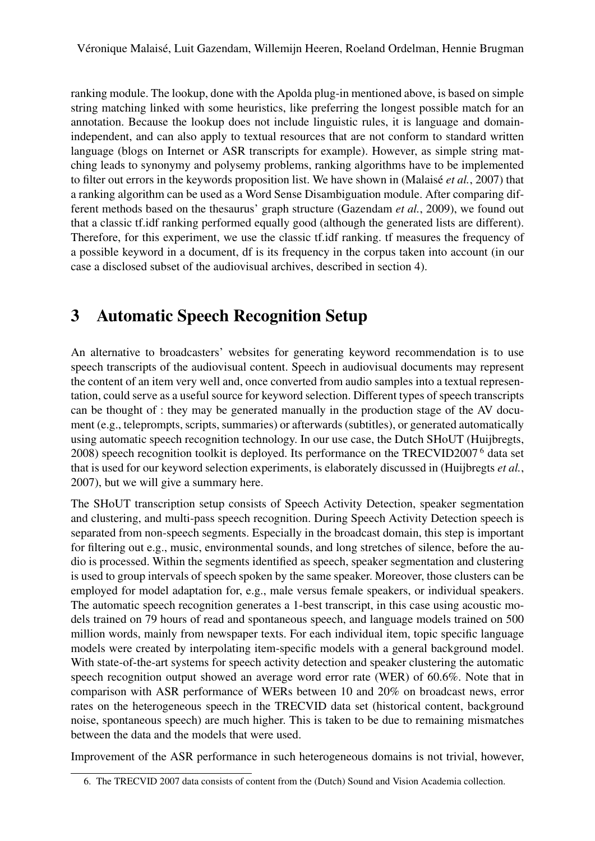ranking module. The lookup, done with the Apolda plug-in mentioned above, is based on simple string matching linked with some heuristics, like preferring the longest possible match for an annotation. Because the lookup does not include linguistic rules, it is language and domainindependent, and can also apply to textual resources that are not conform to standard written language (blogs on Internet or ASR transcripts for example). However, as simple string matching leads to synonymy and polysemy problems, ranking algorithms have to be implemented to filter out errors in the keywords proposition list. We have shown in (Malaisé *et al.*, 2007) that a ranking algorithm can be used as a Word Sense Disambiguation module. After comparing different methods based on the thesaurus' graph structure (Gazendam *et al.*, 2009), we found out that a classic tf.idf ranking performed equally good (although the generated lists are different). Therefore, for this experiment, we use the classic tf.idf ranking. tf measures the frequency of a possible keyword in a document, df is its frequency in the corpus taken into account (in our case a disclosed subset of the audiovisual archives, described in section 4).

# 3 Automatic Speech Recognition Setup

An alternative to broadcasters' websites for generating keyword recommendation is to use speech transcripts of the audiovisual content. Speech in audiovisual documents may represent the content of an item very well and, once converted from audio samples into a textual representation, could serve as a useful source for keyword selection. Different types of speech transcripts can be thought of : they may be generated manually in the production stage of the AV document (e.g., teleprompts, scripts, summaries) or afterwards (subtitles), or generated automatically using automatic speech recognition technology. In our use case, the Dutch SHoUT (Huijbregts, 2008) speech recognition toolkit is deployed. Its performance on the TRECVID2007 <sup>6</sup> data set that is used for our keyword selection experiments, is elaborately discussed in (Huijbregts *et al.*, 2007), but we will give a summary here.

The SHoUT transcription setup consists of Speech Activity Detection, speaker segmentation and clustering, and multi-pass speech recognition. During Speech Activity Detection speech is separated from non-speech segments. Especially in the broadcast domain, this step is important for filtering out e.g., music, environmental sounds, and long stretches of silence, before the audio is processed. Within the segments identified as speech, speaker segmentation and clustering is used to group intervals of speech spoken by the same speaker. Moreover, those clusters can be employed for model adaptation for, e.g., male versus female speakers, or individual speakers. The automatic speech recognition generates a 1-best transcript, in this case using acoustic models trained on 79 hours of read and spontaneous speech, and language models trained on 500 million words, mainly from newspaper texts. For each individual item, topic specific language models were created by interpolating item-specific models with a general background model. With state-of-the-art systems for speech activity detection and speaker clustering the automatic speech recognition output showed an average word error rate (WER) of 60.6%. Note that in comparison with ASR performance of WERs between 10 and 20% on broadcast news, error rates on the heterogeneous speech in the TRECVID data set (historical content, background noise, spontaneous speech) are much higher. This is taken to be due to remaining mismatches between the data and the models that were used.

Improvement of the ASR performance in such heterogeneous domains is not trivial, however,

<sup>6.</sup> The TRECVID 2007 data consists of content from the (Dutch) Sound and Vision Academia collection.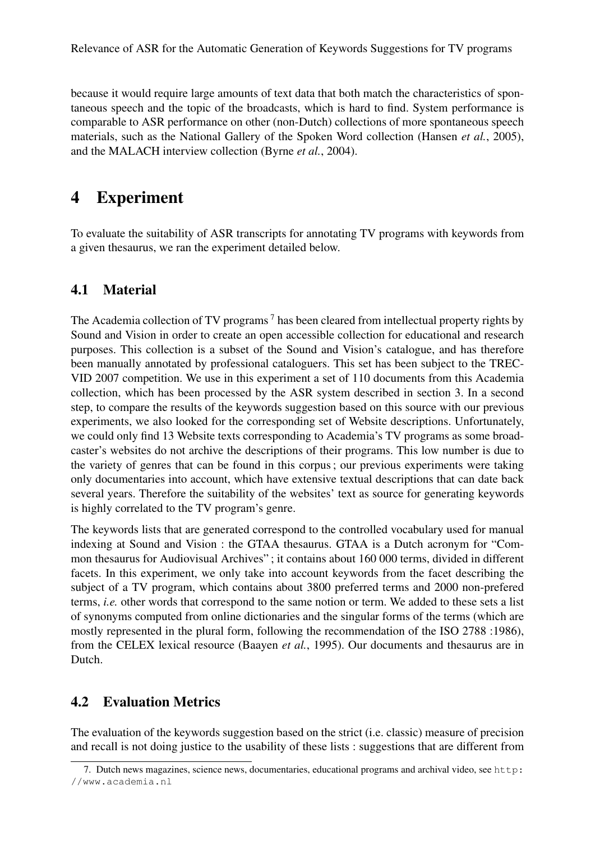Relevance of ASR for the Automatic Generation of Keywords Suggestions for TV programs

because it would require large amounts of text data that both match the characteristics of spontaneous speech and the topic of the broadcasts, which is hard to find. System performance is comparable to ASR performance on other (non-Dutch) collections of more spontaneous speech materials, such as the National Gallery of the Spoken Word collection (Hansen *et al.*, 2005), and the MALACH interview collection (Byrne *et al.*, 2004).

### 4 Experiment

To evaluate the suitability of ASR transcripts for annotating TV programs with keywords from a given thesaurus, we ran the experiment detailed below.

#### 4.1 Material

The Academia collection of TV programs<sup>7</sup> has been cleared from intellectual property rights by Sound and Vision in order to create an open accessible collection for educational and research purposes. This collection is a subset of the Sound and Vision's catalogue, and has therefore been manually annotated by professional cataloguers. This set has been subject to the TREC-VID 2007 competition. We use in this experiment a set of 110 documents from this Academia collection, which has been processed by the ASR system described in section 3. In a second step, to compare the results of the keywords suggestion based on this source with our previous experiments, we also looked for the corresponding set of Website descriptions. Unfortunately, we could only find 13 Website texts corresponding to Academia's TV programs as some broadcaster's websites do not archive the descriptions of their programs. This low number is due to the variety of genres that can be found in this corpus ; our previous experiments were taking only documentaries into account, which have extensive textual descriptions that can date back several years. Therefore the suitability of the websites' text as source for generating keywords is highly correlated to the TV program's genre.

The keywords lists that are generated correspond to the controlled vocabulary used for manual indexing at Sound and Vision : the GTAA thesaurus. GTAA is a Dutch acronym for "Common thesaurus for Audiovisual Archives" ; it contains about 160 000 terms, divided in different facets. In this experiment, we only take into account keywords from the facet describing the subject of a TV program, which contains about 3800 preferred terms and 2000 non-prefered terms, *i.e.* other words that correspond to the same notion or term. We added to these sets a list of synonyms computed from online dictionaries and the singular forms of the terms (which are mostly represented in the plural form, following the recommendation of the ISO 2788 :1986), from the CELEX lexical resource (Baayen *et al.*, 1995). Our documents and thesaurus are in Dutch.

#### 4.2 Evaluation Metrics

The evaluation of the keywords suggestion based on the strict (i.e. classic) measure of precision and recall is not doing justice to the usability of these lists : suggestions that are different from

<sup>7.</sup> Dutch news magazines, science news, documentaries, educational programs and archival video, see http: //www.academia.nl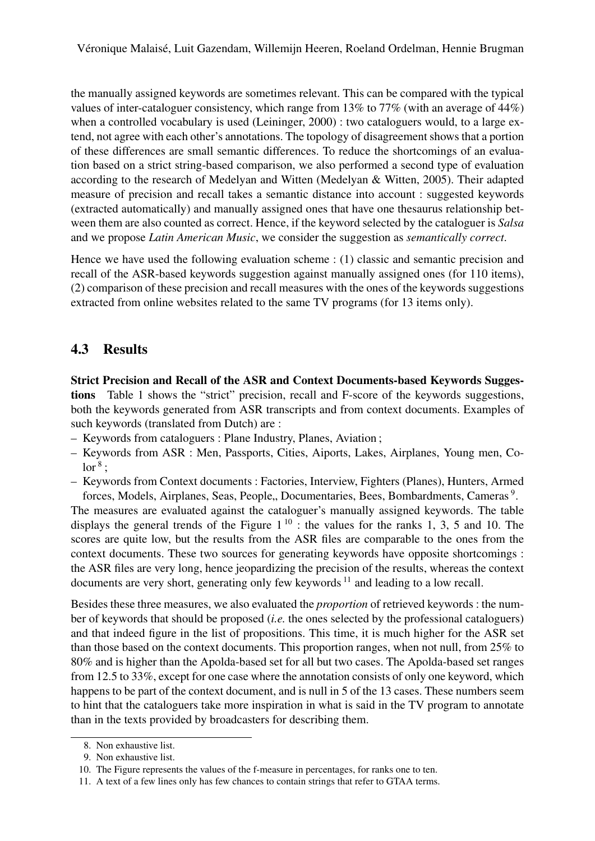the manually assigned keywords are sometimes relevant. This can be compared with the typical values of inter-cataloguer consistency, which range from 13% to 77% (with an average of 44%) when a controlled vocabulary is used (Leininger, 2000) : two cataloguers would, to a large extend, not agree with each other's annotations. The topology of disagreement shows that a portion of these differences are small semantic differences. To reduce the shortcomings of an evaluation based on a strict string-based comparison, we also performed a second type of evaluation according to the research of Medelyan and Witten (Medelyan & Witten, 2005). Their adapted measure of precision and recall takes a semantic distance into account : suggested keywords (extracted automatically) and manually assigned ones that have one thesaurus relationship between them are also counted as correct. Hence, if the keyword selected by the cataloguer is *Salsa* and we propose *Latin American Music*, we consider the suggestion as *semantically correct*.

Hence we have used the following evaluation scheme : (1) classic and semantic precision and recall of the ASR-based keywords suggestion against manually assigned ones (for 110 items), (2) comparison of these precision and recall measures with the ones of the keywords suggestions extracted from online websites related to the same TV programs (for 13 items only).

#### 4.3 Results

Strict Precision and Recall of the ASR and Context Documents-based Keywords Suggestions Table 1 shows the "strict" precision, recall and F-score of the keywords suggestions, both the keywords generated from ASR transcripts and from context documents. Examples of such keywords (translated from Dutch) are :

- Keywords from cataloguers : Plane Industry, Planes, Aviation ;
- Keywords from ASR : Men, Passports, Cities, Aiports, Lakes, Airplanes, Young men, Co- $\mathrm{lor}^{\,8}$  ;
- Keywords from Context documents : Factories, Interview, Fighters (Planes), Hunters, Armed forces, Models, Airplanes, Seas, People,, Documentaries, Bees, Bombardments, Cameras<sup>9</sup>.

The measures are evaluated against the cataloguer's manually assigned keywords. The table displays the general trends of the Figure  $1^{10}$  : the values for the ranks 1, 3, 5 and 10. The scores are quite low, but the results from the ASR files are comparable to the ones from the context documents. These two sources for generating keywords have opposite shortcomings : the ASR files are very long, hence jeopardizing the precision of the results, whereas the context documents are very short, generating only few keywords  $11$  and leading to a low recall.

Besides these three measures, we also evaluated the *proportion* of retrieved keywords : the number of keywords that should be proposed (*i.e.* the ones selected by the professional cataloguers) and that indeed figure in the list of propositions. This time, it is much higher for the ASR set than those based on the context documents. This proportion ranges, when not null, from 25% to 80% and is higher than the Apolda-based set for all but two cases. The Apolda-based set ranges from 12.5 to 33%, except for one case where the annotation consists of only one keyword, which happens to be part of the context document, and is null in 5 of the 13 cases. These numbers seem to hint that the cataloguers take more inspiration in what is said in the TV program to annotate than in the texts provided by broadcasters for describing them.

<sup>8.</sup> Non exhaustive list.

<sup>9.</sup> Non exhaustive list.

<sup>10.</sup> The Figure represents the values of the f-measure in percentages, for ranks one to ten.

<sup>11.</sup> A text of a few lines only has few chances to contain strings that refer to GTAA terms.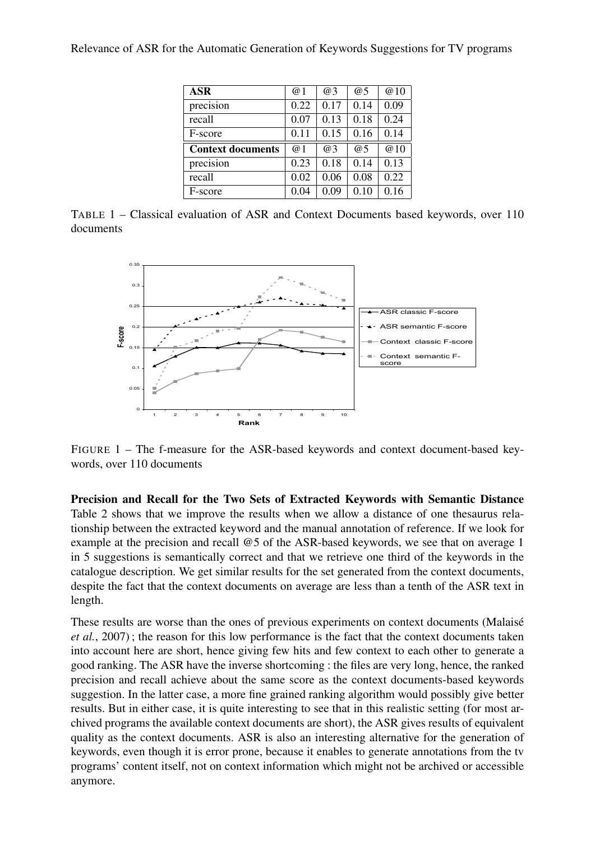| Relevance of ASR for the Automatic Generation of Keywords Suggestions for TV programs |  |  |  |
|---------------------------------------------------------------------------------------|--|--|--|
|---------------------------------------------------------------------------------------|--|--|--|

| <b>ASR</b>               | @1         | @3   | @5   | @10  |
|--------------------------|------------|------|------|------|
| precision                | 0.22       | 0.17 | 0.14 | 0.09 |
| recall                   | 0.07       | 0.13 | 0.18 | 0.24 |
| F-score                  | 0.11       | 0.15 | 0.16 | 0.14 |
| <b>Context documents</b> | $\omega$ 1 | @3   | @5   | @10  |
| precision                | 0.23       | 0.18 | 0.14 | 0.13 |
| recall                   | 0.02       | 0.06 | 0.08 | 0.22 |
| F-score                  | 0.04       | 0.09 | 0.10 | 0.16 |

TABLE 1 – Classical evaluation of ASR and Context Documents based keywords, over 110 documents



FIGURE 1 – The f-measure for the ASR-based keywords and context document-based keywords, over 110 documents

Precision and Recall for the Two Sets of Extracted Keywords with Semantic Distance Table 2 shows that we improve the results when we allow a distance of one thesaurus relationship between the extracted keyword and the manual annotation of reference. If we look for example at the precision and recall @5 of the ASR-based keywords, we see that on average 1 in 5 suggestions is semantically correct and that we retrieve one third of the keywords in the catalogue description. We get similar results for the set generated from the context documents, despite the fact that the context documents on average are less than a tenth of the ASR text in length.

These results are worse than the ones of previous experiments on context documents (Malaisé *et al.*, 2007) ; the reason for this low performance is the fact that the context documents taken into account here are short, hence giving few hits and few context to each other to generate a good ranking. The ASR have the inverse shortcoming : the files are very long, hence, the ranked precision and recall achieve about the same score as the context documents-based keywords suggestion. In the latter case, a more fine grained ranking algorithm would possibly give better results. But in either case, it is quite interesting to see that in this realistic setting (for most archived programs the available context documents are short), the ASR gives results of equivalent quality as the context documents. ASR is also an interesting alternative for the generation of keywords, even though it is error prone, because it enables to generate annotations from the tv programs' content itself, not on context information which might not be archived or accessible anymore.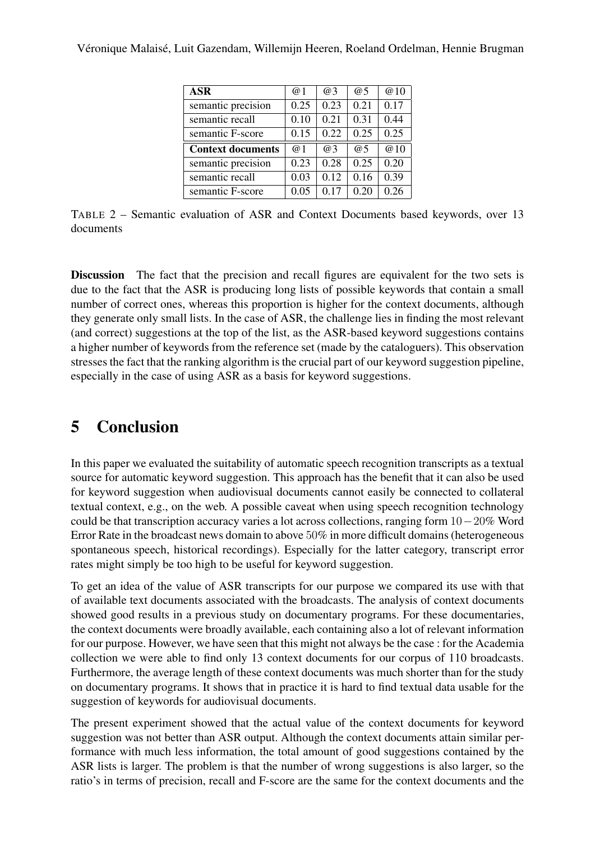#### Véronique Malaisé, Luit Gazendam, Willemijn Heeren, Roeland Ordelman, Hennie Brugman

| ASR                      | @ 1        | $\omega$ 3 | @5   | @10  |
|--------------------------|------------|------------|------|------|
| semantic precision       | 0.25       | 0.23       | 0.21 | 0.17 |
| semantic recall          | 0.10       | 0.21       | 0.31 | 0.44 |
| semantic F-score         | 0.15       | 0.22       | 0.25 | 0.25 |
| <b>Context documents</b> | $\omega$ 1 | @3         | @5   | @10  |
| semantic precision       | 0.23       | 0.28       | 0.25 | 0.20 |
| semantic recall          | 0.03       | 0.12       | 0.16 | 0.39 |
| semantic F-score         | 0.05       | 0.17       | 0.20 | 0.26 |

TABLE 2 – Semantic evaluation of ASR and Context Documents based keywords, over 13 documents

Discussion The fact that the precision and recall figures are equivalent for the two sets is due to the fact that the ASR is producing long lists of possible keywords that contain a small number of correct ones, whereas this proportion is higher for the context documents, although they generate only small lists. In the case of ASR, the challenge lies in finding the most relevant (and correct) suggestions at the top of the list, as the ASR-based keyword suggestions contains a higher number of keywords from the reference set (made by the cataloguers). This observation stresses the fact that the ranking algorithm is the crucial part of our keyword suggestion pipeline, especially in the case of using ASR as a basis for keyword suggestions.

# 5 Conclusion

In this paper we evaluated the suitability of automatic speech recognition transcripts as a textual source for automatic keyword suggestion. This approach has the benefit that it can also be used for keyword suggestion when audiovisual documents cannot easily be connected to collateral textual context, e.g., on the web. A possible caveat when using speech recognition technology could be that transcription accuracy varies a lot across collections, ranging form 10−20% Word Error Rate in the broadcast news domain to above 50% in more difficult domains (heterogeneous spontaneous speech, historical recordings). Especially for the latter category, transcript error rates might simply be too high to be useful for keyword suggestion.

To get an idea of the value of ASR transcripts for our purpose we compared its use with that of available text documents associated with the broadcasts. The analysis of context documents showed good results in a previous study on documentary programs. For these documentaries, the context documents were broadly available, each containing also a lot of relevant information for our purpose. However, we have seen that this might not always be the case : for the Academia collection we were able to find only 13 context documents for our corpus of 110 broadcasts. Furthermore, the average length of these context documents was much shorter than for the study on documentary programs. It shows that in practice it is hard to find textual data usable for the suggestion of keywords for audiovisual documents.

The present experiment showed that the actual value of the context documents for keyword suggestion was not better than ASR output. Although the context documents attain similar performance with much less information, the total amount of good suggestions contained by the ASR lists is larger. The problem is that the number of wrong suggestions is also larger, so the ratio's in terms of precision, recall and F-score are the same for the context documents and the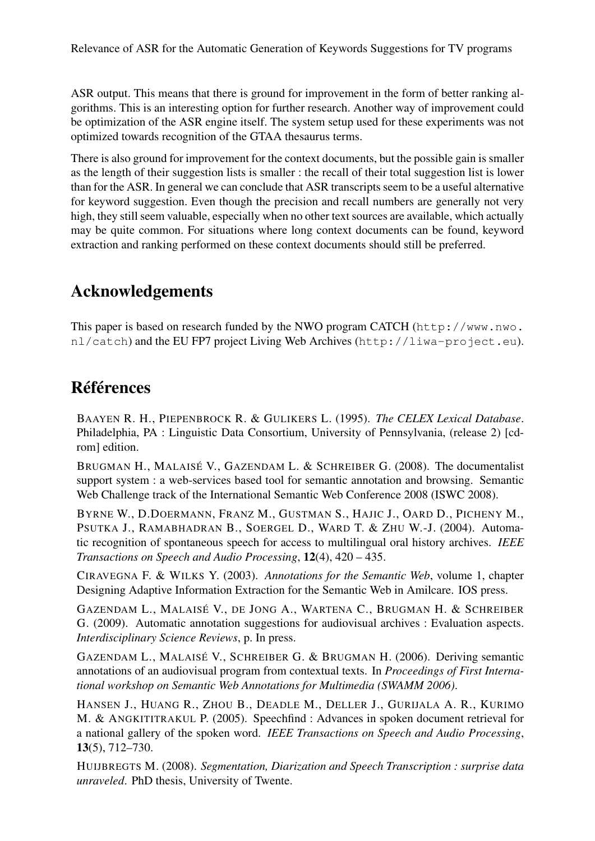ASR output. This means that there is ground for improvement in the form of better ranking algorithms. This is an interesting option for further research. Another way of improvement could be optimization of the ASR engine itself. The system setup used for these experiments was not optimized towards recognition of the GTAA thesaurus terms.

There is also ground for improvement for the context documents, but the possible gain is smaller as the length of their suggestion lists is smaller : the recall of their total suggestion list is lower than for the ASR. In general we can conclude that ASR transcripts seem to be a useful alternative for keyword suggestion. Even though the precision and recall numbers are generally not very high, they still seem valuable, especially when no other text sources are available, which actually may be quite common. For situations where long context documents can be found, keyword extraction and ranking performed on these context documents should still be preferred.

## Acknowledgements

This paper is based on research funded by the NWO program CATCH (http://www.nwo. nl/catch) and the EU FP7 project Living Web Archives (http://liwa-project.eu).

### Références

BAAYEN R. H., PIEPENBROCK R. & GULIKERS L. (1995). *The CELEX Lexical Database*. Philadelphia, PA : Linguistic Data Consortium, University of Pennsylvania, (release 2) [cdrom] edition.

BRUGMAN H., MALAISÉ V., GAZENDAM L. & SCHREIBER G. (2008). The documentalist support system : a web-services based tool for semantic annotation and browsing. Semantic Web Challenge track of the International Semantic Web Conference 2008 (ISWC 2008).

BYRNE W., D.DOERMANN, FRANZ M., GUSTMAN S., HAJIC J., OARD D., PICHENY M., PSUTKA J., RAMABHADRAN B., SOERGEL D., WARD T. & ZHU W.-J. (2004). Automatic recognition of spontaneous speech for access to multilingual oral history archives. *IEEE Transactions on Speech and Audio Processing*, 12(4), 420 – 435.

CIRAVEGNA F. & WILKS Y. (2003). *Annotations for the Semantic Web*, volume 1, chapter Designing Adaptive Information Extraction for the Semantic Web in Amilcare. IOS press.

GAZENDAM L., MALAISÉ V., DE JONG A., WARTENA C., BRUGMAN H. & SCHREIBER G. (2009). Automatic annotation suggestions for audiovisual archives : Evaluation aspects. *Interdisciplinary Science Reviews*, p. In press.

GAZENDAM L., MALAISÉ V., SCHREIBER G. & BRUGMAN H. (2006). Deriving semantic annotations of an audiovisual program from contextual texts. In *Proceedings of First International workshop on Semantic Web Annotations for Multimedia (SWAMM 2006)*.

HANSEN J., HUANG R., ZHOU B., DEADLE M., DELLER J., GURIJALA A. R., KURIMO M. & ANGKITITRAKUL P. (2005). Speechfind : Advances in spoken document retrieval for a national gallery of the spoken word. *IEEE Transactions on Speech and Audio Processing*, 13(5), 712–730.

HUIJBREGTS M. (2008). *Segmentation, Diarization and Speech Transcription : surprise data unraveled*. PhD thesis, University of Twente.